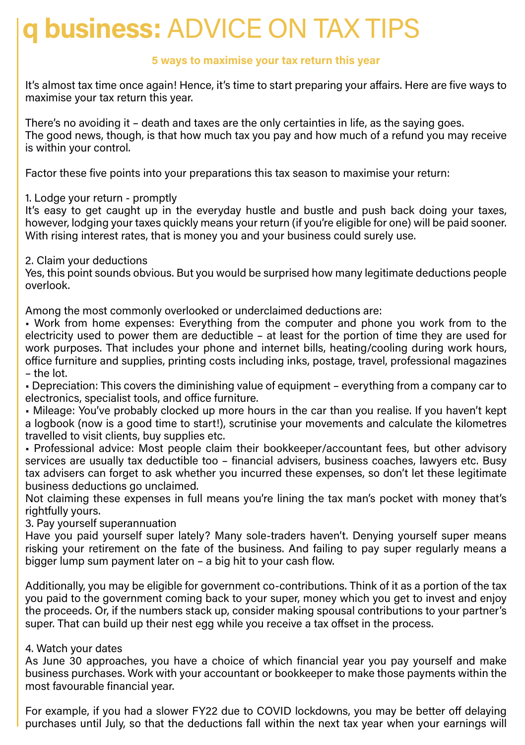# **q business:** ADVICE ON TAX TIPS

# **5 ways to maximise your tax return this year**

It's almost tax time once again! Hence, it's time to start preparing your affairs. Here are five ways to maximise your tax return this year.

There's no avoiding it – death and taxes are the only certainties in life, as the saying goes. The good news, though, is that how much tax you pay and how much of a refund you may receive is within your control.

Factor these five points into your preparations this tax season to maximise your return:

1. Lodge your return - promptly

It's easy to get caught up in the everyday hustle and bustle and push back doing your taxes, however, lodging your taxes quickly means your return (if you're eligible for one) will be paid sooner. With rising interest rates, that is money you and your business could surely use.

#### 2. Claim your deductions

Yes, this point sounds obvious. But you would be surprised how many legitimate deductions people overlook.

Among the most commonly overlooked or underclaimed deductions are:

• Work from home expenses: Everything from the computer and phone you work from to the electricity used to power them are deductible – at least for the portion of time they are used for work purposes. That includes your phone and internet bills, heating/cooling during work hours, office furniture and supplies, printing costs including inks, postage, travel, professional magazines – the lot.

• Depreciation: This covers the diminishing value of equipment – everything from a company car to electronics, specialist tools, and office furniture.

• Mileage: You've probably clocked up more hours in the car than you realise. If you haven't kept a logbook (now is a good time to start!), scrutinise your movements and calculate the kilometres travelled to visit clients, buy supplies etc.

• Professional advice: Most people claim their bookkeeper/accountant fees, but other advisory services are usually tax deductible too – financial advisers, business coaches, lawyers etc. Busy tax advisers can forget to ask whether you incurred these expenses, so don't let these legitimate business deductions go unclaimed.

Not claiming these expenses in full means you're lining the tax man's pocket with money that's rightfully yours.

3. Pay yourself superannuation

Have you paid yourself super lately? Many sole-traders haven't. Denying yourself super means risking your retirement on the fate of the business. And failing to pay super regularly means a bigger lump sum payment later on – a big hit to your cash flow.

Additionally, you may be eligible for government co-contributions. Think of it as a portion of the tax you paid to the government coming back to your super, money which you get to invest and enjoy the proceeds. Or, if the numbers stack up, consider making spousal contributions to your partner's super. That can build up their nest egg while you receive a tax offset in the process.

## 4. Watch your dates

As June 30 approaches, you have a choice of which financial year you pay yourself and make business purchases. Work with your accountant or bookkeeper to make those payments within the most favourable financial year.

For example, if you had a slower FY22 due to COVID lockdowns, you may be better off delaying purchases until July, so that the deductions fall within the next tax year when your earnings will